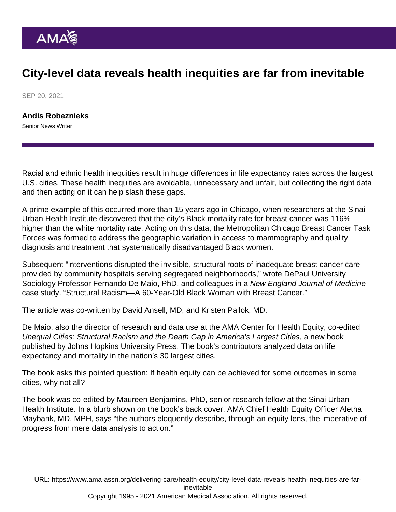## City-level data reveals health inequities are far from inevitable

SEP 20, 2021

[Andis Robeznieks](https://www.ama-assn.org/news-leadership-viewpoints/authors-news-leadership-viewpoints/andis-robeznieks) Senior News Writer

Racial and ethnic health inequities result in huge differences in life expectancy rates across the largest U.S. cities. These health inequities are avoidable, unnecessary and unfair, but collecting the right data and then acting on it can help slash these gaps.

A prime example of this occurred more than 15 years ago in Chicago, when researchers at the [Sinai](https://www.sinaichicago.org/en/suhi/) [Urban Health Institute](https://www.sinaichicago.org/en/suhi/) discovered that the city's Black mortality rate for breast cancer was 116% higher than the white mortality rate. Acting on this data, the Metropolitan Chicago Breast Cancer Task Forces was formed to address the geographic variation in access to mammography and quality diagnosis and treatment that systematically disadvantaged Black women.

Subsequent "interventions disrupted the invisible, structural roots of inadequate breast cancer care provided by community hospitals serving segregated neighborhoods," wrote DePaul University Sociology Professor Fernando De Maio, PhD, and colleagues in a New England Journal of Medicine case study. ["Structural Racism—A 60-Year-Old Black Woman with Breast Cancer](https://www.nejm.org/doi/10.1056/NEJMp1811499)."

The article was co-written by David Ansell, MD, and Kristen Pallok, MD.

De Maio, also the director of research and data use at the [AMA Center for Health Equity,](https://www.ama-assn.org/topics/ama-center-health-equity) co-edited [Unequal Cities: Structural Racism and the Death Gap in America's Largest Cities](https://jhupbooks.press.jhu.edu/title/unequal-cities), a new book published by Johns Hopkins University Press. The book's contributors analyzed data on life expectancy and mortality in the nation's 30 largest cities.

The book asks this pointed question: If health equity can be achieved for some outcomes in some cities, why not all?

The book was co-edited by Maureen Benjamins, PhD, senior research fellow at the Sinai Urban Health Institute. In a blurb shown on the book's back cover, AMA Chief Health Equity Officer [Aletha](https://www.ama-assn.org/news-leadership-viewpoints/authors-news-leadership-viewpoints/aletha-maybank-md-mph) [Maybank, MD, MPH](https://www.ama-assn.org/news-leadership-viewpoints/authors-news-leadership-viewpoints/aletha-maybank-md-mph), says "the authors eloquently describe, through an equity lens, the imperative of progress from mere data analysis to action."

URL: [https://www.ama-assn.org/delivering-care/health-equity/city-level-data-reveals-health-inequities-are-far](https://www.ama-assn.org/delivering-care/health-equity/city-level-data-reveals-health-inequities-are-far-inevitable)[inevitable](https://www.ama-assn.org/delivering-care/health-equity/city-level-data-reveals-health-inequities-are-far-inevitable)